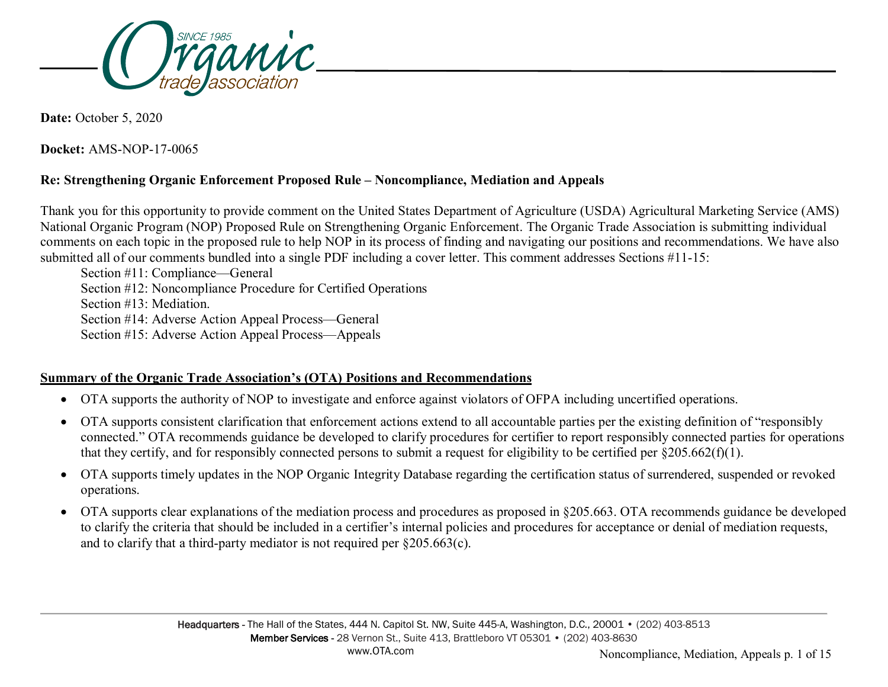

**Date:** October 5, 2020

**Docket:** AMS-NOP-17-0065

## **Re: Strengthening Organic Enforcement Proposed Rule – Noncompliance, Mediation and Appeals**

Thank you for this opportunity to provide comment on the United States Department of Agriculture (USDA) Agricultural Marketing Service (AMS) National Organic Program (NOP) Proposed Rule on Strengthening Organic Enforcement. The Organic Trade Association is submitting individual comments on each topic in the proposed rule to help NOP in its process of finding and navigating our positions and recommendations. We have also submitted all of our comments bundled into a single PDF including a cover letter. This comment addresses Sections #11-15:

Section #11: Compliance—General Section #12: Noncompliance Procedure for Certified Operations Section #13: Mediation. Section #14: Adverse Action Appeal Process—General Section #15: Adverse Action Appeal Process—Appeals

### **Summary of the Organic Trade Association's (OTA) Positions and Recommendations**

- OTA supports the authority of NOP to investigate and enforce against violators of OFPA including uncertified operations.
- OTA supports consistent clarification that enforcement actions extend to all accountable parties per the existing definition of "responsibly connected." OTA recommends guidance be developed to clarify procedures for certifier to report responsibly connected parties for operations that they certify, and for responsibly connected persons to submit a request for eligibility to be certified per  $\S 205.662(f)(1)$ .
- OTA supports timely updates in the NOP Organic Integrity Database regarding the certification status of surrendered, suspended or revoked operations.
- OTA supports clear explanations of the mediation process and procedures as proposed in §205.663. OTA recommends guidance be developed to clarify the criteria that should be included in a certifier's internal policies and procedures for acceptance or denial of mediation requests, and to clarify that a third-party mediator is not required per §205.663(c).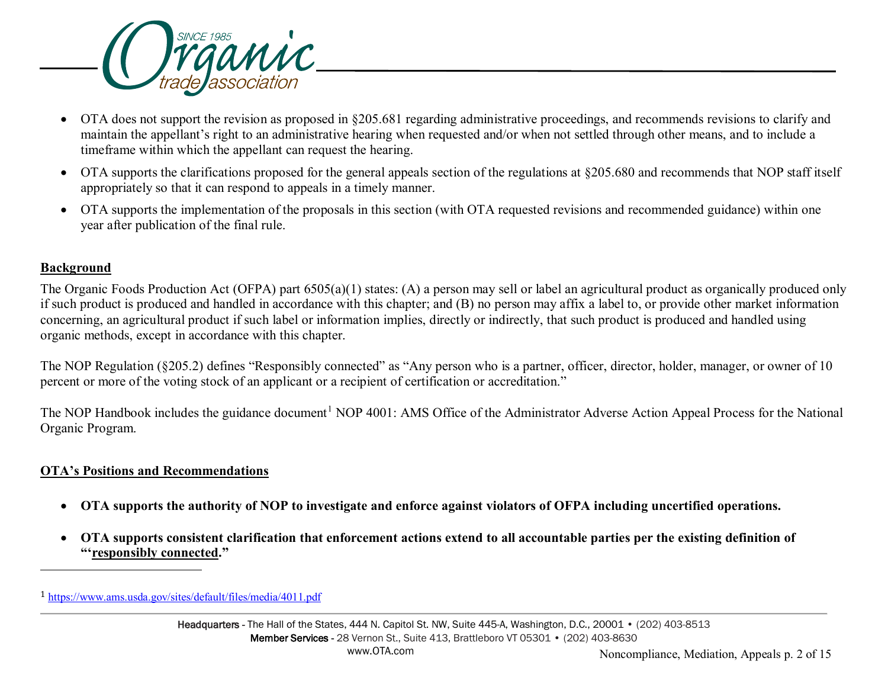<span id="page-1-0"></span>

- OTA does not support the revision as proposed in §205.681 regarding administrative proceedings, and recommends revisions to clarify and maintain the appellant's right to an administrative hearing when requested and/or when not settled through other means, and to include a timeframe within which the appellant can request the hearing.
- OTA supports the clarifications proposed for the general appeals section of the regulations at §205.680 and recommends that NOP staff itself appropriately so that it can respond to appeals in a timely manner.
- OTA supports the implementation of the proposals in this section (with OTA requested revisions and recommended guidance) within one year after publication of the final rule.

### **Background**

-

The Organic Foods Production Act (OFPA) part 6505(a)(1) states: (A) a person may sell or label an agricultural product as organically produced only if such product is produced and handled in accordance with this chapter; and (B) no person may affix a label to, or provide other market information concerning, an agricultural product if such label or information implies, directly or indirectly, that such product is produced and handled using organic methods, except in accordance with this chapter.

The NOP Regulation (§205.2) defines "Responsibly connected" as "Any person who is a partner, officer, director, holder, manager, or owner of 10 percent or more of the voting stock of an applicant or a recipient of certification or accreditation."

The NOP Handbook includes the guidance document<sup>[1](#page-1-0)</sup> NOP 4001: AMS Office of the Administrator Adverse Action Appeal Process for the National Organic Program.

### **OTA's Positions and Recommendations**

- **OTA supports the authority of NOP to investigate and enforce against violators of OFPA including uncertified operations.**
- **OTA supports consistent clarification that enforcement actions extend to all accountable parties per the existing definition of "'responsibly connected."**

<sup>1</sup> <https://www.ams.usda.gov/sites/default/files/media/4011.pdf>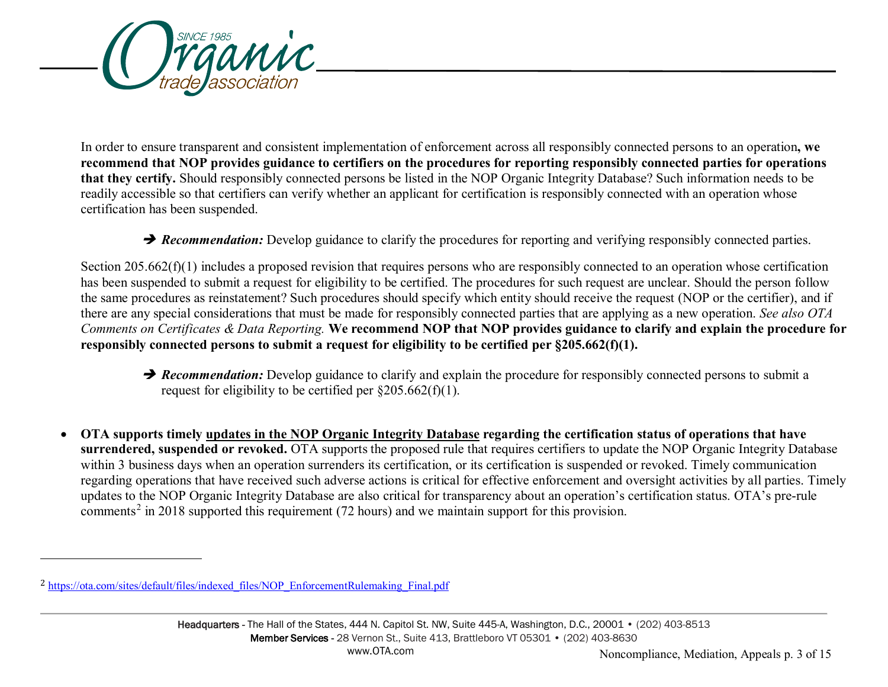<span id="page-2-0"></span>

In order to ensure transparent and consistent implementation of enforcement across all responsibly connected persons to an operation**, we recommend that NOP provides guidance to certifiers on the procedures for reporting responsibly connected parties for operations that they certify.** Should responsibly connected persons be listed in the NOP Organic Integrity Database? Such information needs to be readily accessible so that certifiers can verify whether an applicant for certification is responsibly connected with an operation whose certification has been suspended.

**→ Recommendation:** Develop guidance to clarify the procedures for reporting and verifying responsibly connected parties.

Section 205.662(f)(1) includes a proposed revision that requires persons who are responsibly connected to an operation whose certification has been suspended to submit a request for eligibility to be certified. The procedures for such request are unclear. Should the person follow the same procedures as reinstatement? Such procedures should specify which entity should receive the request (NOP or the certifier), and if there are any special considerations that must be made for responsibly connected parties that are applying as a new operation. *See also OTA Comments on Certificates & Data Reporting.* **We recommend NOP that NOP provides guidance to clarify and explain the procedure for responsibly connected persons to submit a request for eligibility to be certified per §205.662(f)(1).**

- **P** Recommendation: Develop guidance to clarify and explain the procedure for responsibly connected persons to submit a request for eligibility to be certified per  $\frac{205.662(f)}{1}$ .
- **OTA supports timely updates in the NOP Organic Integrity Database regarding the certification status of operations that have surrendered, suspended or revoked.** OTA supports the proposed rule that requires certifiers to update the NOP Organic Integrity Database within 3 business days when an operation surrenders its certification, or its certification is suspended or revoked. Timely communication regarding operations that have received such adverse actions is critical for effective enforcement and oversight activities by all parties. Timely updates to the NOP Organic Integrity Database are also critical for transparency about an operation's certification status. OTA's pre-rule comments<sup>[2](#page-2-0)</sup> in 2018 supported this requirement (72 hours) and we maintain support for this provision.

-

<sup>2</sup> [https://ota.com/sites/default/files/indexed\\_files/NOP\\_EnforcementRulemaking\\_Final.pdf](https://ota.com/sites/default/files/indexed_files/NOP_EnforcementRulemaking_Final.pdf)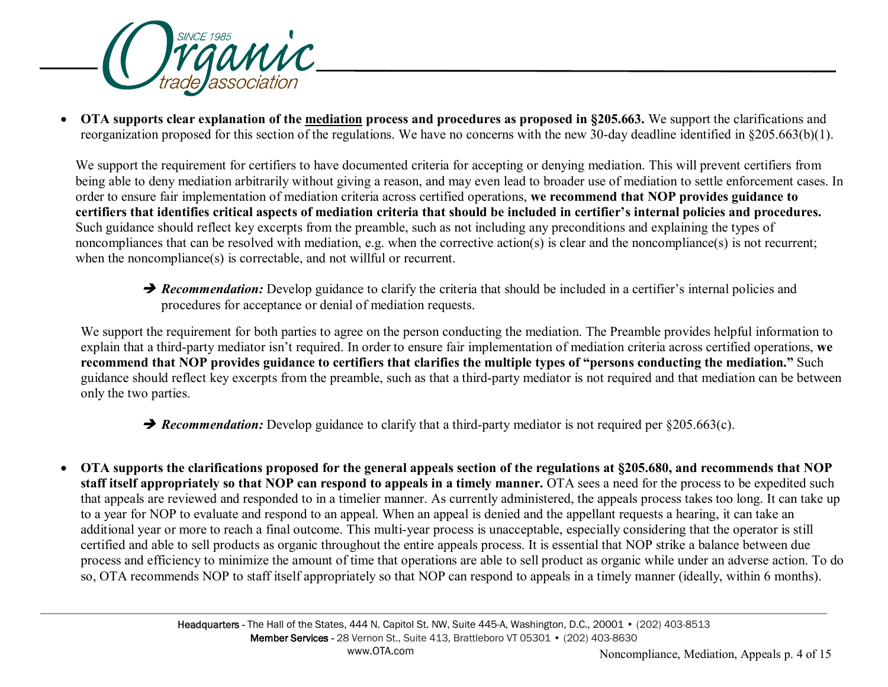

• **OTA supports clear explanation of the mediation process and procedures as proposed in §205.663.** We support the clarifications and reorganization proposed for this section of the regulations. We have no concerns with the new 30-day deadline identified in §205.663(b)(1).

We support the requirement for certifiers to have documented criteria for accepting or denying mediation. This will prevent certifiers from being able to deny mediation arbitrarily without giving a reason, and may even lead to broader use of mediation to settle enforcement cases. In order to ensure fair implementation of mediation criteria across certified operations, **we recommend that NOP provides guidance to certifiers that identifies critical aspects of mediation criteria that should be included in certifier's internal policies and procedures.** Such guidance should reflect key excerpts from the preamble, such as not including any preconditions and explaining the types of noncompliances that can be resolved with mediation, e.g. when the corrective action(s) is clear and the noncompliance(s) is not recurrent; when the noncompliance(s) is correctable, and not will ful or recurrent.

**P** Recommendation: Develop guidance to clarify the criteria that should be included in a certifier's internal policies and procedures for acceptance or denial of mediation requests.

We support the requirement for both parties to agree on the person conducting the mediation. The Preamble provides helpful information to explain that a third-party mediator isn't required. In order to ensure fair implementation of mediation criteria across certified operations, **we recommend that NOP provides guidance to certifiers that clarifies the multiple types of "persons conducting the mediation."** Such guidance should reflect key excerpts from the preamble, such as that a third-party mediator is not required and that mediation can be between only the two parties.

**→ Recommendation:** Develop guidance to clarify that a third-party mediator is not required per §205.663(c).

• **OTA supports the clarifications proposed for the general appeals section of the regulations at §205.680, and recommends that NOP staff itself appropriately so that NOP can respond to appeals in a timely manner.** OTA sees a need for the process to be expedited such that appeals are reviewed and responded to in a timelier manner. As currently administered, the appeals process takes too long. It can take up to a year for NOP to evaluate and respond to an appeal. When an appeal is denied and the appellant requests a hearing, it can take an additional year or more to reach a final outcome. This multi-year process is unacceptable, especially considering that the operator is still certified and able to sell products as organic throughout the entire appeals process. It is essential that NOP strike a balance between due process and efficiency to minimize the amount of time that operations are able to sell product as organic while under an adverse action. To do so, OTA recommends NOP to staff itself appropriately so that NOP can respond to appeals in a timely manner (ideally, within 6 months).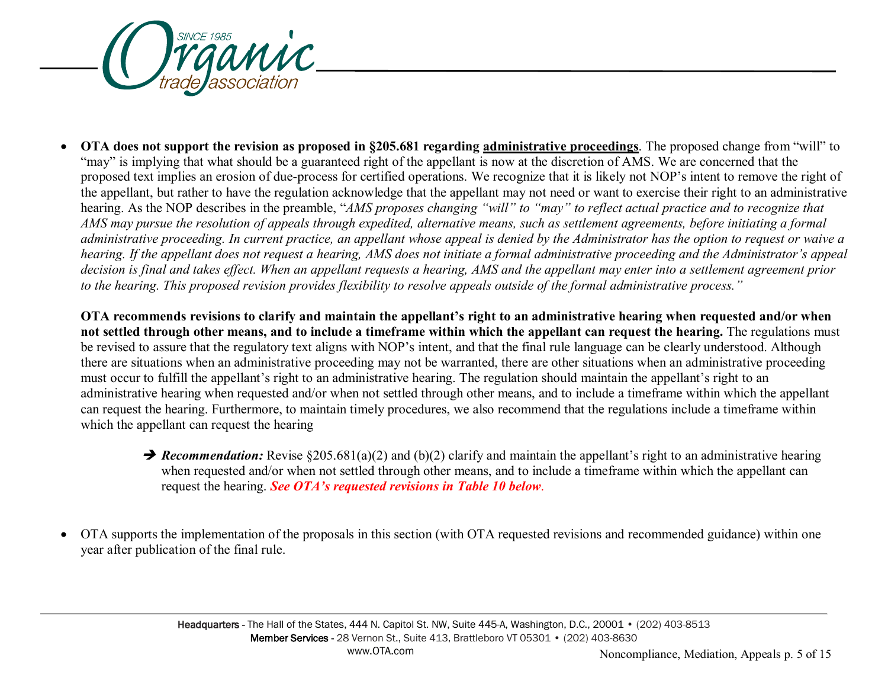

• **OTA does not support the revision as proposed in §205.681 regarding administrative proceedings**. The proposed change from "will" to "may" is implying that what should be a guaranteed right of the appellant is now at the discretion of AMS. We are concerned that the proposed text implies an erosion of due-process for certified operations. We recognize that it is likely not NOP's intent to remove the right of the appellant, but rather to have the regulation acknowledge that the appellant may not need or want to exercise their right to an administrative hearing. As the NOP describes in the preamble, "*AMS proposes changing "will" to "may" to reflect actual practice and to recognize that AMS may pursue the resolution of appeals through expedited, alternative means, such as settlement agreements, before initiating a formal administrative proceeding. In current practice, an appellant whose appeal is denied by the Administrator has the option to request or waive a hearing. If the appellant does not request a hearing, AMS does not initiate a formal administrative proceeding and the Administrator's appeal decision is final and takes effect. When an appellant requests a hearing, AMS and the appellant may enter into a settlement agreement prior to the hearing. This proposed revision provides flexibility to resolve appeals outside of the formal administrative process."*

**OTA recommends revisions to clarify and maintain the appellant's right to an administrative hearing when requested and/or when not settled through other means, and to include a timeframe within which the appellant can request the hearing.** The regulations must be revised to assure that the regulatory text aligns with NOP's intent, and that the final rule language can be clearly understood. Although there are situations when an administrative proceeding may not be warranted, there are other situations when an administrative proceeding must occur to fulfill the appellant's right to an administrative hearing. The regulation should maintain the appellant's right to an administrative hearing when requested and/or when not settled through other means, and to include a timeframe within which the appellant can request the hearing. Furthermore, to maintain timely procedures, we also recommend that the regulations include a timeframe within which the appellant can request the hearing

- **→ Recommendation:** Revise §205.681(a)(2) and (b)(2) clarify and maintain the appellant's right to an administrative hearing when requested and/or when not settled through other means, and to include a timeframe within which the appellant can request the hearing. *See OTA's requested revisions in Table 10 below*.
- OTA supports the implementation of the proposals in this section (with OTA requested revisions and recommended guidance) within one year after publication of the final rule.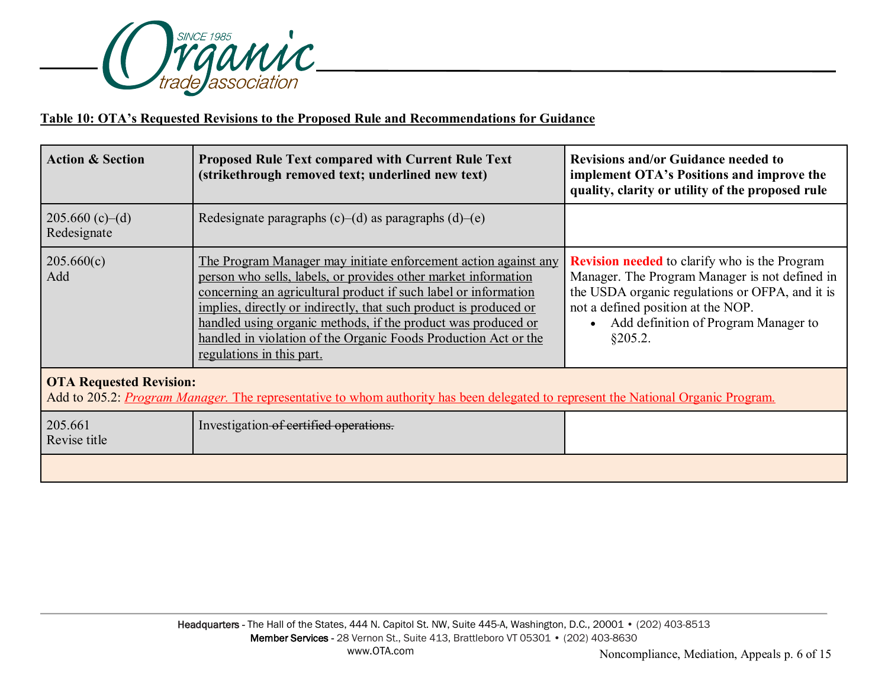

# **Table 10: OTA's Requested Revisions to the Proposed Rule and Recommendations for Guidance**

| <b>Action &amp; Section</b>      | <b>Proposed Rule Text compared with Current Rule Text</b><br>(strikethrough removed text; underlined new text)                                                                                                                                                                                                                                                                                                                             | <b>Revisions and/or Guidance needed to</b><br>implement OTA's Positions and improve the<br>quality, clarity or utility of the proposed rule                                                                                                        |
|----------------------------------|--------------------------------------------------------------------------------------------------------------------------------------------------------------------------------------------------------------------------------------------------------------------------------------------------------------------------------------------------------------------------------------------------------------------------------------------|----------------------------------------------------------------------------------------------------------------------------------------------------------------------------------------------------------------------------------------------------|
| $205.660(c)$ -(d)<br>Redesignate | Redesignate paragraphs $(c)$ – $(d)$ as paragraphs $(d)$ – $(e)$                                                                                                                                                                                                                                                                                                                                                                           |                                                                                                                                                                                                                                                    |
| 205.660(c)<br>Add                | The Program Manager may initiate enforcement action against any<br>person who sells, labels, or provides other market information<br>concerning an agricultural product if such label or information<br>implies, directly or indirectly, that such product is produced or<br>handled using organic methods, if the product was produced or<br>handled in violation of the Organic Foods Production Act or the<br>regulations in this part. | <b>Revision needed</b> to clarify who is the Program<br>Manager. The Program Manager is not defined in<br>the USDA organic regulations or OFPA, and it is<br>not a defined position at the NOP.<br>Add definition of Program Manager to<br>§205.2. |
| <b>OTA Requested Revision:</b>   | Add to 205.2: <i>Program Manager</i> . The representative to whom authority has been delegated to represent the National Organic Program.                                                                                                                                                                                                                                                                                                  |                                                                                                                                                                                                                                                    |
| 205.661<br>Revise title          | Investigation of certified operations.                                                                                                                                                                                                                                                                                                                                                                                                     |                                                                                                                                                                                                                                                    |
|                                  |                                                                                                                                                                                                                                                                                                                                                                                                                                            |                                                                                                                                                                                                                                                    |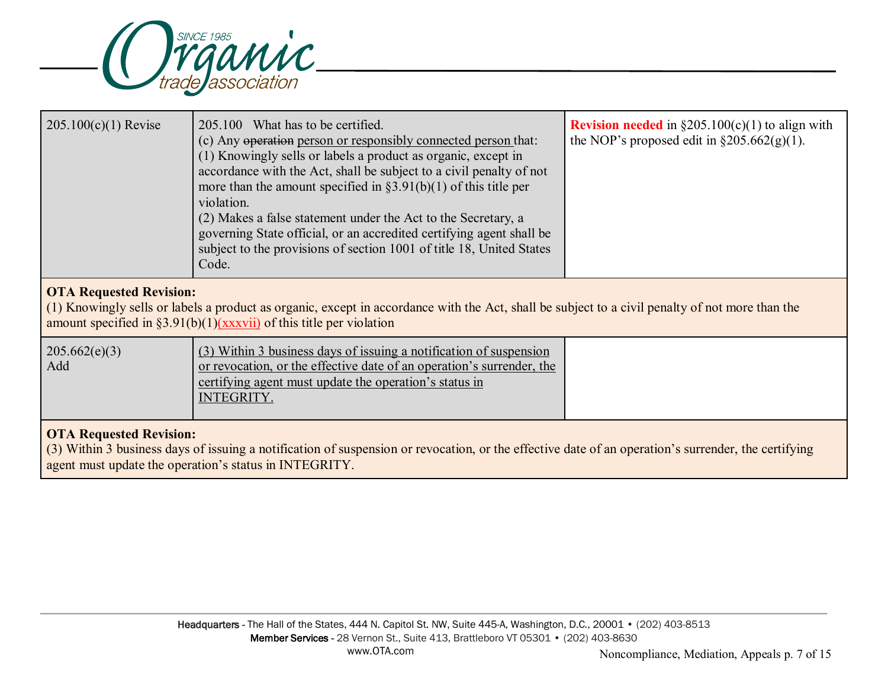

| $205.100(c)(1)$ Revise                                                                                                                                                                                                                                      | 205.100 What has to be certified.<br>(c) Any operation person or responsibly connected person that:<br>(1) Knowingly sells or labels a product as organic, except in<br>accordance with the Act, shall be subject to a civil penalty of not<br>more than the amount specified in $\S3.91(b)(1)$ of this title per<br>violation.<br>(2) Makes a false statement under the Act to the Secretary, a<br>governing State official, or an accredited certifying agent shall be<br>subject to the provisions of section 1001 of title 18, United States<br>Code. | <b>Revision needed</b> in $\S 205.100(c)(1)$ to align with<br>the NOP's proposed edit in $\S 205.662(g)(1)$ . |  |
|-------------------------------------------------------------------------------------------------------------------------------------------------------------------------------------------------------------------------------------------------------------|-----------------------------------------------------------------------------------------------------------------------------------------------------------------------------------------------------------------------------------------------------------------------------------------------------------------------------------------------------------------------------------------------------------------------------------------------------------------------------------------------------------------------------------------------------------|---------------------------------------------------------------------------------------------------------------|--|
| <b>OTA Requested Revision:</b><br>(1) Knowingly sells or labels a product as organic, except in accordance with the Act, shall be subject to a civil penalty of not more than the<br>amount specified in $\S3.91(b)(1)(xxxvii)$ of this title per violation |                                                                                                                                                                                                                                                                                                                                                                                                                                                                                                                                                           |                                                                                                               |  |
| 205.662(e)(3)<br>(3) Within 3 business days of issuing a notification of suspension<br>or revocation, or the effective date of an operation's surrender, the<br>Add<br>certifying agent must update the operation's status in<br><b>INTEGRITY.</b>          |                                                                                                                                                                                                                                                                                                                                                                                                                                                                                                                                                           |                                                                                                               |  |
| <b>OTA Requested Revision:</b><br>(3) Within 3 business days of issuing a notification of suspension or revocation, or the effective date of an operation's surrender, the certifying<br>agent must update the operation's status in INTEGRITY.             |                                                                                                                                                                                                                                                                                                                                                                                                                                                                                                                                                           |                                                                                                               |  |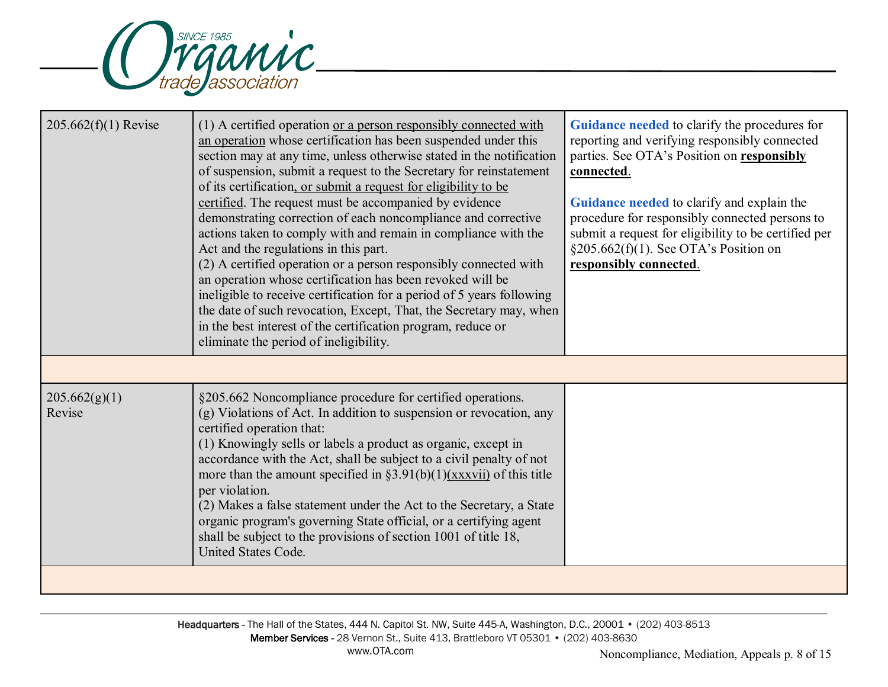

| $205.662(f)(1)$ Revise  | (1) A certified operation or a person responsibly connected with<br>an operation whose certification has been suspended under this<br>section may at any time, unless otherwise stated in the notification<br>of suspension, submit a request to the Secretary for reinstatement<br>of its certification, or submit a request for eligibility to be<br>certified. The request must be accompanied by evidence<br>demonstrating correction of each noncompliance and corrective<br>actions taken to comply with and remain in compliance with the<br>Act and the regulations in this part.<br>(2) A certified operation or a person responsibly connected with<br>an operation whose certification has been revoked will be<br>ineligible to receive certification for a period of 5 years following<br>the date of such revocation, Except, That, the Secretary may, when<br>in the best interest of the certification program, reduce or<br>eliminate the period of ineligibility. | Guidance needed to clarify the procedures for<br>reporting and verifying responsibly connected<br>parties. See OTA's Position on responsibly<br>connected.<br>Guidance needed to clarify and explain the<br>procedure for responsibly connected persons to<br>submit a request for eligibility to be certified per<br>§205.662(f)(1). See OTA's Position on<br>responsibly connected. |
|-------------------------|-------------------------------------------------------------------------------------------------------------------------------------------------------------------------------------------------------------------------------------------------------------------------------------------------------------------------------------------------------------------------------------------------------------------------------------------------------------------------------------------------------------------------------------------------------------------------------------------------------------------------------------------------------------------------------------------------------------------------------------------------------------------------------------------------------------------------------------------------------------------------------------------------------------------------------------------------------------------------------------|---------------------------------------------------------------------------------------------------------------------------------------------------------------------------------------------------------------------------------------------------------------------------------------------------------------------------------------------------------------------------------------|
|                         |                                                                                                                                                                                                                                                                                                                                                                                                                                                                                                                                                                                                                                                                                                                                                                                                                                                                                                                                                                                     |                                                                                                                                                                                                                                                                                                                                                                                       |
| 205.662(g)(1)<br>Revise | §205.662 Noncompliance procedure for certified operations.<br>(g) Violations of Act. In addition to suspension or revocation, any<br>certified operation that:<br>(1) Knowingly sells or labels a product as organic, except in<br>accordance with the Act, shall be subject to a civil penalty of not<br>more than the amount specified in $\S 3.91(b)(1)$ (xxxvii) of this title<br>per violation.<br>(2) Makes a false statement under the Act to the Secretary, a State<br>organic program's governing State official, or a certifying agent<br>shall be subject to the provisions of section 1001 of title 18,<br><b>United States Code.</b>                                                                                                                                                                                                                                                                                                                                   |                                                                                                                                                                                                                                                                                                                                                                                       |
|                         |                                                                                                                                                                                                                                                                                                                                                                                                                                                                                                                                                                                                                                                                                                                                                                                                                                                                                                                                                                                     |                                                                                                                                                                                                                                                                                                                                                                                       |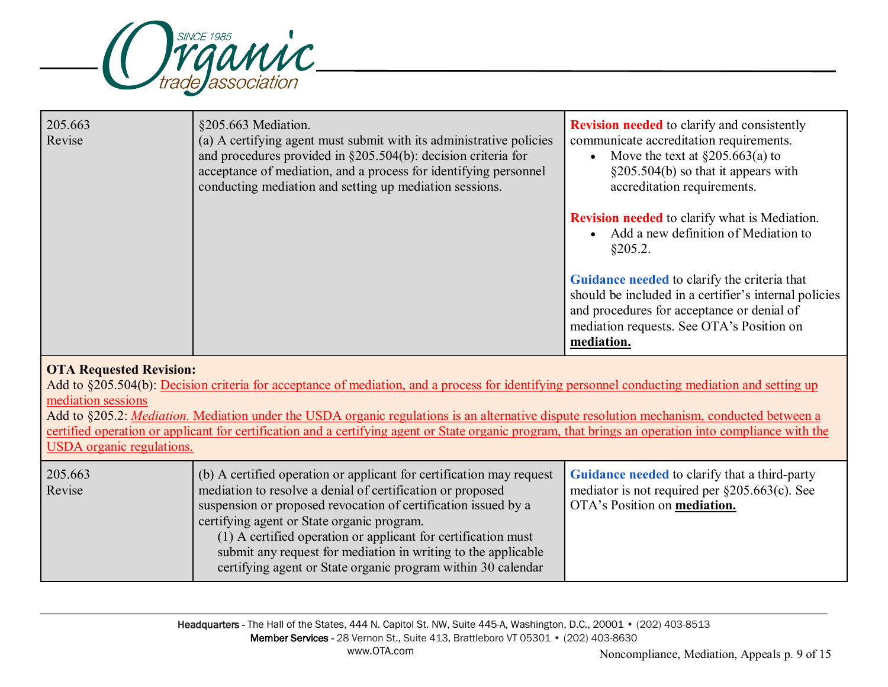

| 205.663<br>Revise                                                                 | §205.663 Mediation.<br>(a) A certifying agent must submit with its administrative policies<br>and procedures provided in $\S 205.504(b)$ : decision criteria for<br>acceptance of mediation, and a process for identifying personnel<br>conducting mediation and setting up mediation sessions.                                                                                                                                                               | <b>Revision needed</b> to clarify and consistently<br>communicate accreditation requirements.<br>Move the text at $\S 205.663(a)$ to<br>$\bullet$<br>§205.504(b) so that it appears with<br>accreditation requirements.<br><b>Revision needed</b> to clarify what is Mediation.<br>Add a new definition of Mediation to<br>§205.2.<br>Guidance needed to clarify the criteria that<br>should be included in a certifier's internal policies<br>and procedures for acceptance or denial of<br>mediation requests. See OTA's Position on |
|-----------------------------------------------------------------------------------|---------------------------------------------------------------------------------------------------------------------------------------------------------------------------------------------------------------------------------------------------------------------------------------------------------------------------------------------------------------------------------------------------------------------------------------------------------------|----------------------------------------------------------------------------------------------------------------------------------------------------------------------------------------------------------------------------------------------------------------------------------------------------------------------------------------------------------------------------------------------------------------------------------------------------------------------------------------------------------------------------------------|
|                                                                                   |                                                                                                                                                                                                                                                                                                                                                                                                                                                               | mediation.                                                                                                                                                                                                                                                                                                                                                                                                                                                                                                                             |
| <b>OTA Requested Revision:</b><br>mediation sessions<br>USDA organic regulations. | Add to §205.504(b): Decision criteria for acceptance of mediation, and a process for identifying personnel conducting mediation and setting up<br>Add to §205.2: <i>Mediation</i> . Mediation under the USDA organic regulations is an alternative dispute resolution mechanism, conducted between a<br>certified operation or applicant for certification and a certifying agent or State organic program, that brings an operation into compliance with the |                                                                                                                                                                                                                                                                                                                                                                                                                                                                                                                                        |
| 205.663<br>Revise                                                                 | (b) A certified operation or applicant for certification may request<br>mediation to resolve a denial of certification or proposed<br>suspension or proposed revocation of certification issued by a<br>certifying agent or State organic program.<br>(1) A certified operation or applicant for certification must<br>submit any request for mediation in writing to the applicable<br>certifying agent or State organic program within 30 calendar          | Guidance needed to clarify that a third-party<br>mediator is not required per $\S 205.663(c)$ . See<br>OTA's Position on mediation.                                                                                                                                                                                                                                                                                                                                                                                                    |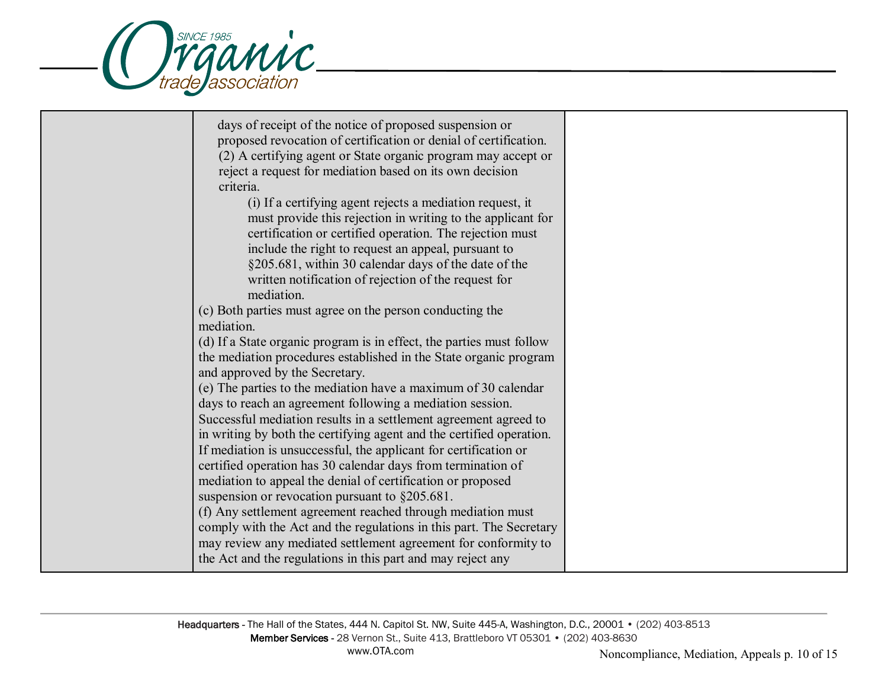

| days of receipt of the notice of proposed suspension or<br>proposed revocation of certification or denial of certification.<br>(2) A certifying agent or State organic program may accept or<br>reject a request for mediation based on its own decision<br>criteria.<br>(i) If a certifying agent rejects a mediation request, it<br>must provide this rejection in writing to the applicant for<br>certification or certified operation. The rejection must<br>include the right to request an appeal, pursuant to<br>§205.681, within 30 calendar days of the date of the<br>written notification of rejection of the request for<br>mediation.<br>(c) Both parties must agree on the person conducting the<br>mediation.<br>(d) If a State organic program is in effect, the parties must follow<br>the mediation procedures established in the State organic program |  |
|---------------------------------------------------------------------------------------------------------------------------------------------------------------------------------------------------------------------------------------------------------------------------------------------------------------------------------------------------------------------------------------------------------------------------------------------------------------------------------------------------------------------------------------------------------------------------------------------------------------------------------------------------------------------------------------------------------------------------------------------------------------------------------------------------------------------------------------------------------------------------|--|
| and approved by the Secretary.<br>(e) The parties to the mediation have a maximum of 30 calendar<br>days to reach an agreement following a mediation session.<br>Successful mediation results in a settlement agreement agreed to<br>in writing by both the certifying agent and the certified operation.<br>If mediation is unsuccessful, the applicant for certification or<br>certified operation has 30 calendar days from termination of<br>mediation to appeal the denial of certification or proposed<br>suspension or revocation pursuant to $§205.681$ .<br>(f) Any settlement agreement reached through mediation must<br>comply with the Act and the regulations in this part. The Secretary<br>may review any mediated settlement agreement for conformity to<br>the Act and the regulations in this part and may reject any                                  |  |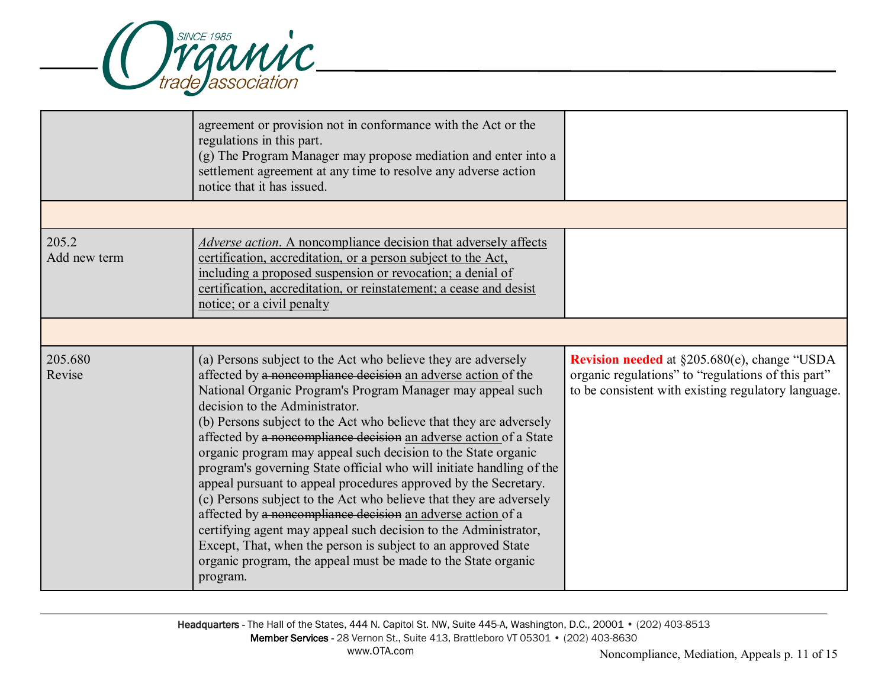

|                       | agreement or provision not in conformance with the Act or the<br>regulations in this part.<br>(g) The Program Manager may propose mediation and enter into a<br>settlement agreement at any time to resolve any adverse action<br>notice that it has issued.                                                                                                                                                                                                                                                                                                                                                                                                                                                                                                                                                                                                                                                                                |                                                                                                                                                                  |
|-----------------------|---------------------------------------------------------------------------------------------------------------------------------------------------------------------------------------------------------------------------------------------------------------------------------------------------------------------------------------------------------------------------------------------------------------------------------------------------------------------------------------------------------------------------------------------------------------------------------------------------------------------------------------------------------------------------------------------------------------------------------------------------------------------------------------------------------------------------------------------------------------------------------------------------------------------------------------------|------------------------------------------------------------------------------------------------------------------------------------------------------------------|
|                       |                                                                                                                                                                                                                                                                                                                                                                                                                                                                                                                                                                                                                                                                                                                                                                                                                                                                                                                                             |                                                                                                                                                                  |
| 205.2<br>Add new term | Adverse action. A noncompliance decision that adversely affects<br>certification, accreditation, or a person subject to the Act,<br>including a proposed suspension or revocation; a denial of<br>certification, accreditation, or reinstatement; a cease and desist<br>notice; or a civil penalty                                                                                                                                                                                                                                                                                                                                                                                                                                                                                                                                                                                                                                          |                                                                                                                                                                  |
|                       |                                                                                                                                                                                                                                                                                                                                                                                                                                                                                                                                                                                                                                                                                                                                                                                                                                                                                                                                             |                                                                                                                                                                  |
| 205.680<br>Revise     | (a) Persons subject to the Act who believe they are adversely<br>affected by a noncompliance decision an adverse action of the<br>National Organic Program's Program Manager may appeal such<br>decision to the Administrator.<br>(b) Persons subject to the Act who believe that they are adversely<br>affected by a noncompliance decision an adverse action of a State<br>organic program may appeal such decision to the State organic<br>program's governing State official who will initiate handling of the<br>appeal pursuant to appeal procedures approved by the Secretary.<br>(c) Persons subject to the Act who believe that they are adversely<br>affected by a noncompliance decision an adverse action of a<br>certifying agent may appeal such decision to the Administrator,<br>Except, That, when the person is subject to an approved State<br>organic program, the appeal must be made to the State organic<br>program. | <b>Revision needed</b> at §205.680(e), change "USDA<br>organic regulations" to "regulations of this part"<br>to be consistent with existing regulatory language. |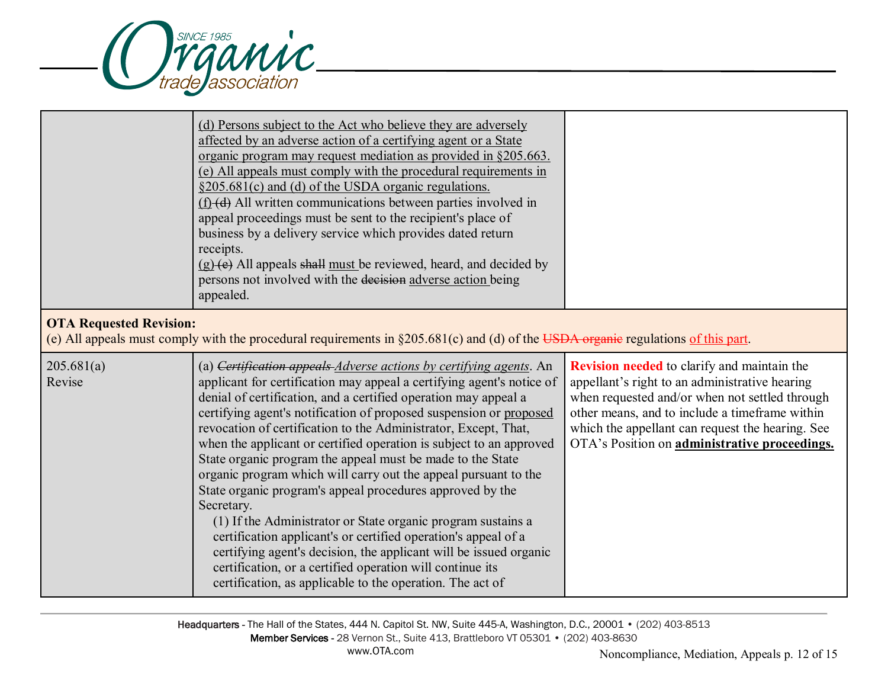

|                                | (d) Persons subject to the Act who believe they are adversely<br>affected by an adverse action of a certifying agent or a State<br>organic program may request mediation as provided in §205.663.<br>(e) All appeals must comply with the procedural requirements in<br>§205.681(c) and (d) of the USDA organic regulations.<br>(f) (d) All written communications between parties involved in<br>appeal proceedings must be sent to the recipient's place of<br>business by a delivery service which provides dated return<br>receipts.<br>(g) (e) All appeals shall must be reviewed, heard, and decided by<br>persons not involved with the decision adverse action being<br>appealed.                                                                                                                                                                                                                                                                                           |                                                                                                                                                                                                                                                                                                               |
|--------------------------------|-------------------------------------------------------------------------------------------------------------------------------------------------------------------------------------------------------------------------------------------------------------------------------------------------------------------------------------------------------------------------------------------------------------------------------------------------------------------------------------------------------------------------------------------------------------------------------------------------------------------------------------------------------------------------------------------------------------------------------------------------------------------------------------------------------------------------------------------------------------------------------------------------------------------------------------------------------------------------------------|---------------------------------------------------------------------------------------------------------------------------------------------------------------------------------------------------------------------------------------------------------------------------------------------------------------|
| <b>OTA Requested Revision:</b> | (e) All appeals must comply with the procedural requirements in $\S205.681(c)$ and (d) of the USDA organic regulations of this part.                                                                                                                                                                                                                                                                                                                                                                                                                                                                                                                                                                                                                                                                                                                                                                                                                                                |                                                                                                                                                                                                                                                                                                               |
| 205.681(a)<br>Revise           | (a) Certification appeals <i>Adverse actions by certifying agents</i> . An<br>applicant for certification may appeal a certifying agent's notice of<br>denial of certification, and a certified operation may appeal a<br>certifying agent's notification of proposed suspension or proposed<br>revocation of certification to the Administrator, Except, That,<br>when the applicant or certified operation is subject to an approved<br>State organic program the appeal must be made to the State<br>organic program which will carry out the appeal pursuant to the<br>State organic program's appeal procedures approved by the<br>Secretary.<br>(1) If the Administrator or State organic program sustains a<br>certification applicant's or certified operation's appeal of a<br>certifying agent's decision, the applicant will be issued organic<br>certification, or a certified operation will continue its<br>certification, as applicable to the operation. The act of | <b>Revision needed</b> to clarify and maintain the<br>appellant's right to an administrative hearing<br>when requested and/or when not settled through<br>other means, and to include a timeframe within<br>which the appellant can request the hearing. See<br>OTA's Position on administrative proceedings. |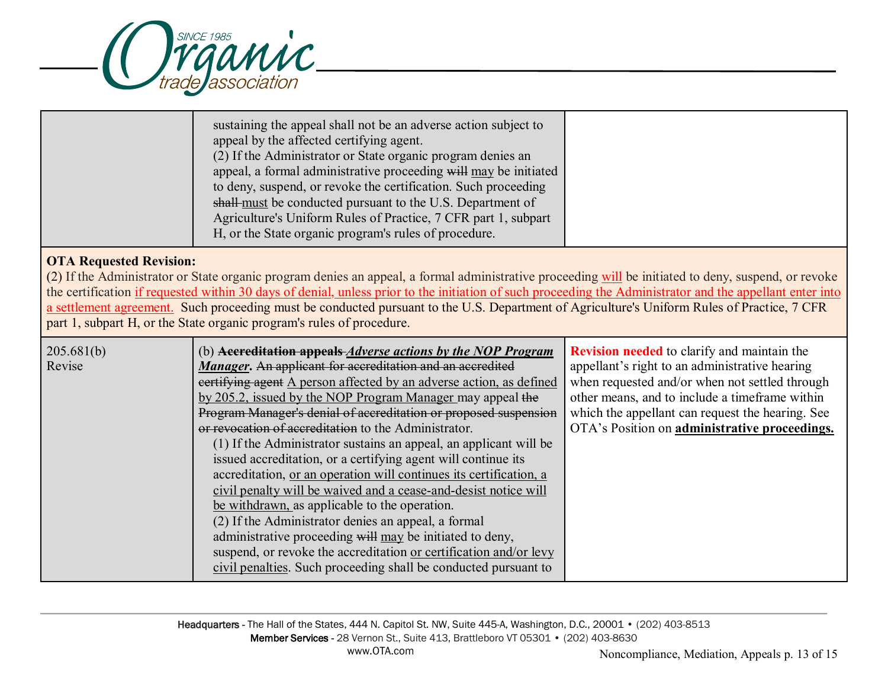

| sustaining the appeal shall not be an adverse action subject to<br>(2) If the Administrator or State organic program denies an<br>appeal, a formal administrative proceeding will may be initiated<br>to deny, suspend, or revoke the certification. Such proceeding<br>shall-must be conducted pursuant to the U.S. Department of<br>Agriculture's Uniform Rules of Practice, 7 CFR part 1, subpart<br>H, or the State organic program's rules of procedure. |
|---------------------------------------------------------------------------------------------------------------------------------------------------------------------------------------------------------------------------------------------------------------------------------------------------------------------------------------------------------------------------------------------------------------------------------------------------------------|
|---------------------------------------------------------------------------------------------------------------------------------------------------------------------------------------------------------------------------------------------------------------------------------------------------------------------------------------------------------------------------------------------------------------------------------------------------------------|

## **OTA Requested Revision:**

(2) If the Administrator or State organic program denies an appeal, a formal administrative proceeding will be initiated to deny, suspend, or revoke the certification if requested within 30 days of denial, unless prior to the initiation of such proceeding the Administrator and the appellant enter into a settlement agreement. Such proceeding must be conducted pursuant to the U.S. Department of Agriculture's Uniform Rules of Practice, 7 CFR part 1, subpart H, or the State organic program's rules of procedure.

| 205.681(b)<br>Revise | (b) <b>Accreditation appeals</b> <i>Adverse actions by the NOP Program</i><br>Manager. An applicant for accreditation and an accredited<br>eertifying agent A person affected by an adverse action, as defined<br>by 205.2, issued by the NOP Program Manager may appeal the<br>Program Manager's denial of accreditation or proposed suspension<br>or revocation of accreditation to the Administrator.<br>(1) If the Administrator sustains an appeal, an applicant will be<br>issued accreditation, or a certifying agent will continue its<br>accreditation, or an operation will continues its certification, a<br>civil penalty will be waived and a cease-and-desist notice will<br>be withdrawn, as applicable to the operation.<br>(2) If the Administrator denies an appeal, a formal<br>administrative proceeding will may be initiated to deny,<br>suspend, or revoke the accreditation or certification and/or levy<br>civil penalties. Such proceeding shall be conducted pursuant to | <b>Revision needed</b> to clarify and maintain the<br>appellant's right to an administrative hearing<br>when requested and/or when not settled through<br>other means, and to include a timeframe within<br>which the appellant can request the hearing. See<br>OTA's Position on administrative proceedings. |
|----------------------|-----------------------------------------------------------------------------------------------------------------------------------------------------------------------------------------------------------------------------------------------------------------------------------------------------------------------------------------------------------------------------------------------------------------------------------------------------------------------------------------------------------------------------------------------------------------------------------------------------------------------------------------------------------------------------------------------------------------------------------------------------------------------------------------------------------------------------------------------------------------------------------------------------------------------------------------------------------------------------------------------------|---------------------------------------------------------------------------------------------------------------------------------------------------------------------------------------------------------------------------------------------------------------------------------------------------------------|
|----------------------|-----------------------------------------------------------------------------------------------------------------------------------------------------------------------------------------------------------------------------------------------------------------------------------------------------------------------------------------------------------------------------------------------------------------------------------------------------------------------------------------------------------------------------------------------------------------------------------------------------------------------------------------------------------------------------------------------------------------------------------------------------------------------------------------------------------------------------------------------------------------------------------------------------------------------------------------------------------------------------------------------------|---------------------------------------------------------------------------------------------------------------------------------------------------------------------------------------------------------------------------------------------------------------------------------------------------------------|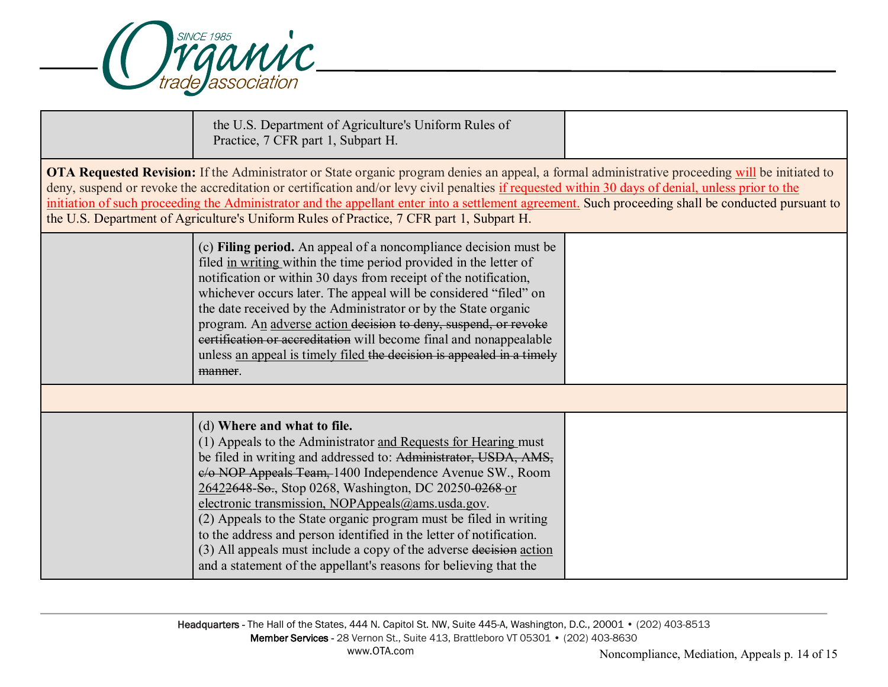

| the U.S. Department of Agriculture's Uniform Rules of<br>Practice, 7 CFR part 1, Subpart H.                                                                                                                                                                                                                                                                                                                                                                                                                                                                                                                                       |  |
|-----------------------------------------------------------------------------------------------------------------------------------------------------------------------------------------------------------------------------------------------------------------------------------------------------------------------------------------------------------------------------------------------------------------------------------------------------------------------------------------------------------------------------------------------------------------------------------------------------------------------------------|--|
| OTA Requested Revision: If the Administrator or State organic program denies an appeal, a formal administrative proceeding will be initiated to<br>deny, suspend or revoke the accreditation or certification and/or levy civil penalties if requested within 30 days of denial, unless prior to the<br>initiation of such proceeding the Administrator and the appellant enter into a settlement agreement. Such proceeding shall be conducted pursuant to<br>the U.S. Department of Agriculture's Uniform Rules of Practice, 7 CFR part 1, Subpart H.                                                                           |  |
| (c) Filing period. An appeal of a noncompliance decision must be<br>filed in writing within the time period provided in the letter of<br>notification or within 30 days from receipt of the notification,<br>whichever occurs later. The appeal will be considered "filed" on<br>the date received by the Administrator or by the State organic<br>program. An adverse action decision to deny, suspend, or revoke<br>eertification or accreditation will become final and nonappealable<br>unless an appeal is timely filed the decision is appealed in a timely<br>manner.                                                      |  |
|                                                                                                                                                                                                                                                                                                                                                                                                                                                                                                                                                                                                                                   |  |
| (d) Where and what to file.<br>(1) Appeals to the Administrator and Requests for Hearing must<br>be filed in writing and addressed to: Administrator, USDA, AMS,<br>e/o NOP Appeals Team, 1400 Independence Avenue SW., Room<br>26422648-So., Stop 0268, Washington, DC 20250-0268 or<br>electronic transmission, NOPAppeals@ams.usda.gov.<br>(2) Appeals to the State organic program must be filed in writing<br>to the address and person identified in the letter of notification.<br>(3) All appeals must include a copy of the adverse decision action<br>and a statement of the appellant's reasons for believing that the |  |